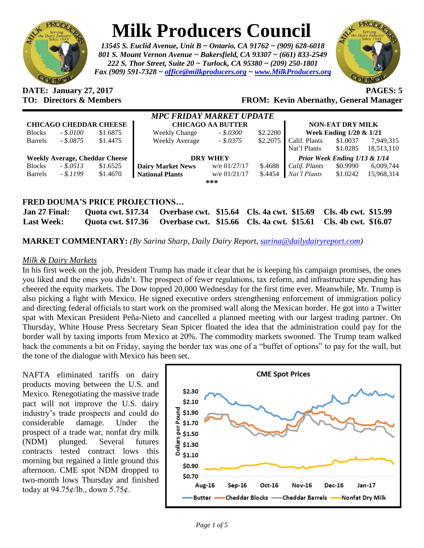

## **Milk Producers Council**

*13545 S. Euclid Avenue, Unit B ~ Ontario, CA 91762 ~ (909) 628-6018 801 S. Mount Vernon Avenue ~ Bakersfield, CA 93307 ~ (661) 833-2549 222 S. Thor Street, Suite 20 ~ Turlock, CA 95380 ~ (209) 250-1801 Fax (909) 591-7328 ~ [office@milkproducers.org](mailto:office@milkproducers.org) ~ [www.MilkProducers.org](http://www.milkproducers.org/)*



**DATE: January 27, 2017 PAGES: 5**

**TO: Directors & Members FROM: Kevin Abernathy, General Manager**

| MPC FRIDAY MARKET UPDATE              |              |          |                          |                |          |                               |                            |            |  |  |
|---------------------------------------|--------------|----------|--------------------------|----------------|----------|-------------------------------|----------------------------|------------|--|--|
| <b>CHICAGO CHEDDAR CHEESE</b>         |              |          | <b>CHICAGO AA BUTTER</b> |                |          | <b>NON-FAT DRY MILK</b>       |                            |            |  |  |
| <b>Blocks</b>                         | $-.5.0100$   | \$1.6875 | <b>Weekly Change</b>     | $-.5.0300$     | \$2.2200 |                               | Week Ending $1/20 \& 1/21$ |            |  |  |
| <b>Barrels</b>                        | $-.5.0875$   | \$1.4475 | <b>Weekly Average</b>    | $-.5.0375$     | \$2.2075 | Calif. Plants                 | \$1.0037                   | 7.949.315  |  |  |
|                                       |              |          |                          |                |          | Nat'l Plants                  | \$1.0285                   | 18,513,110 |  |  |
| <b>Weekly Average, Cheddar Cheese</b> |              |          | <b>DRY WHEY</b>          |                |          | Prior Week Ending 1/13 & 1/14 |                            |            |  |  |
| <b>Blocks</b>                         | $-.$ \$.0513 | \$1.6525 | <b>Dairy Market News</b> | w/e 01/27/17   | \$.4688  | Calif. Plants                 | \$0.9990                   | 6,009,744  |  |  |
| <b>Barrels</b>                        | $-.5.1199$   | \$1.4670 | <b>National Plants</b>   | w/e $01/21/17$ | \$.4454  | Nat'l Plants                  | \$1.0242                   | 15,968,314 |  |  |
| ***                                   |              |          |                          |                |          |                               |                            |            |  |  |
|                                       |              |          |                          |                |          |                               |                            |            |  |  |

## **FRED DOUMA'S PRICE PROJECTIONS…**

| Jan 27 Final:     | Quota cwt. \$17.34 Qverbase cwt. \$15.64 Cls. 4a cwt. \$15.69 Cls. 4b cwt. \$15.99 |  |
|-------------------|------------------------------------------------------------------------------------|--|
| <b>Last Week:</b> | Quota cwt. \$17.36 Overbase cwt. \$15.66 Cls. 4a cwt. \$15.61 Cls. 4b cwt. \$16.07 |  |

**MARKET COMMENTARY:** *(By Sarina Sharp, Daily Dairy Report, [sarina@dailydairyreport.com\)](mailto:sarina@dailydairyreport.com)*

## *Milk & Dairy Markets*

In his first week on the job, President Trump has made it clear that he is keeping his campaign promises, the ones you liked and the ones you didn't. The prospect of fewer regulations, tax reform, and infrastructure spending has cheered the equity markets. The Dow topped 20,000 Wednesday for the first time ever. Meanwhile, Mr. Trump is also picking a fight with Mexico. He signed executive orders strengthening enforcement of immigration policy and directing federal officials to start work on the promised wall along the Mexican border. He got into a Twitter spat with Mexican President Peña-Nieto and cancelled a planned meeting with our largest trading partner. On Thursday, White House Press Secretary Sean Spicer floated the idea that the administration could pay for the border wall by taxing imports from Mexico at 20%. The commodity markets swooned. The Trump team walked back the comments a bit on Friday, saying the border tax was one of a "buffet of options" to pay for the wall, but the tone of the dialogue with Mexico has been set.

NAFTA eliminated tariffs on dairy products moving between the U.S. and Mexico. Renegotiating the massive trade pact will not improve the U.S. dairy industry's trade prospects and could do considerable damage. Under the prospect of a trade war, nonfat dry milk (NDM) plunged. Several futures contracts tested contract lows this morning but regained a little ground this afternoon. CME spot NDM dropped to two-month lows Thursday and finished today at 94.75ȼ/lb., down 5.75ȼ.

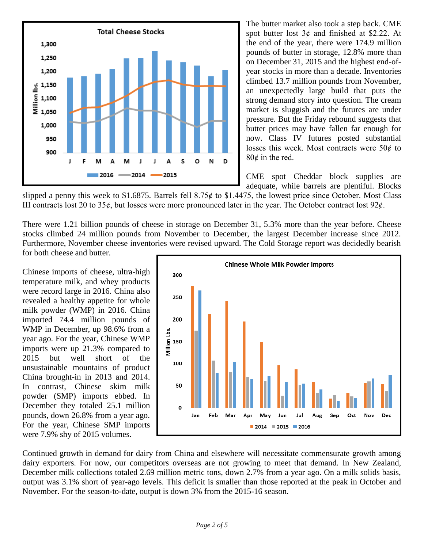

The butter market also took a step back. CME spot butter lost  $3¢$  and finished at \$2.22. At the end of the year, there were 174.9 million pounds of butter in storage, 12.8% more than on December 31, 2015 and the highest end-ofyear stocks in more than a decade. Inventories climbed 13.7 million pounds from November, an unexpectedly large build that puts the strong demand story into question. The cream market is sluggish and the futures are under pressure. But the Friday rebound suggests that butter prices may have fallen far enough for now. Class IV futures posted substantial losses this week. Most contracts were  $50¢$  to  $80¢$  in the red.

CME spot Cheddar block supplies are adequate, while barrels are plentiful. Blocks

slipped a penny this week to \$1.6875. Barrels fell  $8.75¢$  to \$1.4475, the lowest price since October. Most Class III contracts lost 20 to 35 $\phi$ , but losses were more pronounced later in the year. The October contract lost 92 $\phi$ .

There were 1.21 billion pounds of cheese in storage on December 31, 5.3% more than the year before. Cheese stocks climbed 24 million pounds from November to December, the largest December increase since 2012. Furthermore, November cheese inventories were revised upward. The Cold Storage report was decidedly bearish for both cheese and butter.

Chinese imports of cheese, ultra-high temperature milk, and whey products were record large in 2016. China also revealed a healthy appetite for whole milk powder (WMP) in 2016. China imported 74.4 million pounds of WMP in December, up 98.6% from a year ago. For the year, Chinese WMP imports were up 21.3% compared to 2015 but well short of the unsustainable mountains of product China brought-in in 2013 and 2014. In contrast, Chinese skim milk powder (SMP) imports ebbed. In December they totaled 25.1 million pounds, down 26.8% from a year ago. For the year, Chinese SMP imports were 7.9% shy of 2015 volumes.



Continued growth in demand for dairy from China and elsewhere will necessitate commensurate growth among dairy exporters. For now, our competitors overseas are not growing to meet that demand. In New Zealand, December milk collections totaled 2.69 million metric tons, down 2.7% from a year ago. On a milk solids basis, output was 3.1% short of year-ago levels. This deficit is smaller than those reported at the peak in October and November. For the season-to-date, output is down 3% from the 2015-16 season.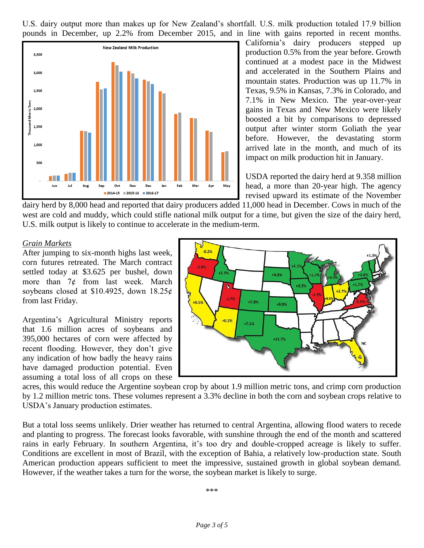U.S. dairy output more than makes up for New Zealand's shortfall. U.S. milk production totaled 17.9 billion pounds in December, up 2.2% from December 2015, and in line with gains reported in recent months.



California's dairy producers stepped up production 0.5% from the year before. Growth continued at a modest pace in the Midwest and accelerated in the Southern Plains and mountain states. Production was up 11.7% in Texas, 9.5% in Kansas, 7.3% in Colorado, and 7.1% in New Mexico. The year-over-year gains in Texas and New Mexico were likely boosted a bit by comparisons to depressed output after winter storm Goliath the year before. However, the devastating storm arrived late in the month, and much of its impact on milk production hit in January.

USDA reported the dairy herd at 9.358 million head, a more than 20-year high. The agency revised upward its estimate of the November

dairy herd by 8,000 head and reported that dairy producers added 11,000 head in December. Cows in much of the west are cold and muddy, which could stifle national milk output for a time, but given the size of the dairy herd, U.S. milk output is likely to continue to accelerate in the medium-term.

## *Grain Markets*

After jumping to six-month highs last week, corn futures retreated. The March contract settled today at \$3.625 per bushel, down more than  $7¢$  from last week. March soybeans closed at \$10.4925, down  $18.25¢$ from last Friday.

Argentina's Agricultural Ministry reports that 1.6 million acres of soybeans and 395,000 hectares of corn were affected by recent flooding. However, they don't give any indication of how badly the heavy rains have damaged production potential. Even assuming a total loss of all crops on these



acres, this would reduce the Argentine soybean crop by about 1.9 million metric tons, and crimp corn production by 1.2 million metric tons. These volumes represent a 3.3% decline in both the corn and soybean crops relative to USDA's January production estimates.

But a total loss seems unlikely. Drier weather has returned to central Argentina, allowing flood waters to recede and planting to progress. The forecast looks favorable, with sunshine through the end of the month and scattered rains in early February. In southern Argentina, it's too dry and double-cropped acreage is likely to suffer. Conditions are excellent in most of Brazil, with the exception of Bahia, a relatively low-production state. South American production appears sufficient to meet the impressive, sustained growth in global soybean demand. However, if the weather takes a turn for the worse, the soybean market is likely to surge.

\*\*\*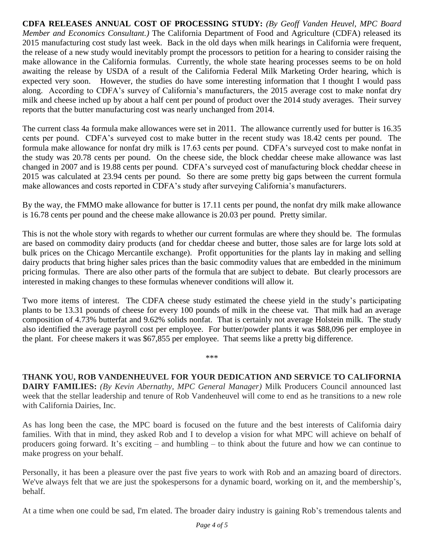**CDFA RELEASES ANNUAL COST OF PROCESSING STUDY:** *(By Geoff Vanden Heuvel, MPC Board Member and Economics Consultant.)* The California Department of Food and Agriculture (CDFA) released its 2015 manufacturing cost study last week. Back in the old days when milk hearings in California were frequent, the release of a new study would inevitably prompt the processors to petition for a hearing to consider raising the make allowance in the California formulas. Currently, the whole state hearing processes seems to be on hold awaiting the release by USDA of a result of the California Federal Milk Marketing Order hearing, which is expected very soon. However, the studies do have some interesting information that I thought I would pass along. According to CDFA's survey of California's manufacturers, the 2015 average cost to make nonfat dry milk and cheese inched up by about a half cent per pound of product over the 2014 study averages. Their survey reports that the butter manufacturing cost was nearly unchanged from 2014.

The current class 4a formula make allowances were set in 2011. The allowance currently used for butter is 16.35 cents per pound. CDFA's surveyed cost to make butter in the recent study was 18.42 cents per pound. The formula make allowance for nonfat dry milk is 17.63 cents per pound. CDFA's surveyed cost to make nonfat in the study was 20.78 cents per pound. On the cheese side, the block cheddar cheese make allowance was last changed in 2007 and is 19.88 cents per pound. CDFA's surveyed cost of manufacturing block cheddar cheese in 2015 was calculated at 23.94 cents per pound. So there are some pretty big gaps between the current formula make allowances and costs reported in CDFA's study after surveying California's manufacturers.

By the way, the FMMO make allowance for butter is 17.11 cents per pound, the nonfat dry milk make allowance is 16.78 cents per pound and the cheese make allowance is 20.03 per pound. Pretty similar.

This is not the whole story with regards to whether our current formulas are where they should be. The formulas are based on commodity dairy products (and for cheddar cheese and butter, those sales are for large lots sold at bulk prices on the Chicago Mercantile exchange). Profit opportunities for the plants lay in making and selling dairy products that bring higher sales prices than the basic commodity values that are embedded in the minimum pricing formulas. There are also other parts of the formula that are subject to debate. But clearly processors are interested in making changes to these formulas whenever conditions will allow it.

Two more items of interest. The CDFA cheese study estimated the cheese yield in the study's participating plants to be 13.31 pounds of cheese for every 100 pounds of milk in the cheese vat. That milk had an average composition of 4.73% butterfat and 9.62% solids nonfat. That is certainly not average Holstein milk. The study also identified the average payroll cost per employee. For butter/powder plants it was \$88,096 per employee in the plant. For cheese makers it was \$67,855 per employee. That seems like a pretty big difference.

**THANK YOU, ROB VANDENHEUVEL FOR YOUR DEDICATION AND SERVICE TO CALIFORNIA DAIRY FAMILIES:** *(By Kevin Abernathy, MPC General Manager)* Milk Producers Council announced last week that the stellar leadership and tenure of Rob Vandenheuvel will come to end as he transitions to a new role with California Dairies, Inc.

\*\*\*

As has long been the case, the MPC board is focused on the future and the best interests of California dairy families. With that in mind, they asked Rob and I to develop a vision for what MPC will achieve on behalf of producers going forward. It's exciting – and humbling – to think about the future and how we can continue to make progress on your behalf.

Personally, it has been a pleasure over the past five years to work with Rob and an amazing board of directors. We've always felt that we are just the spokespersons for a dynamic board, working on it, and the membership's, behalf.

At a time when one could be sad, I'm elated. The broader dairy industry is gaining Rob's tremendous talents and